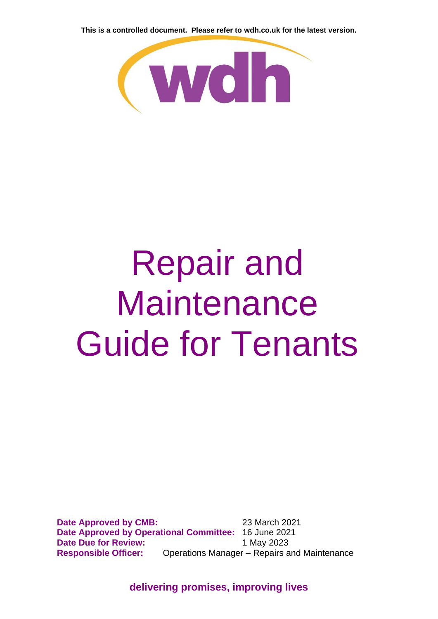

# Repair and **Maintenance** Guide for Tenants

**Date Approved by CMB:** 23 March 2021 **Date Approved by Operational Committee:** 16 June 2021 **Date Due for Review:** 1 May 2023 **Responsible Officer:** Operations Manager – Repairs and Maintenance

**delivering promises, improving lives**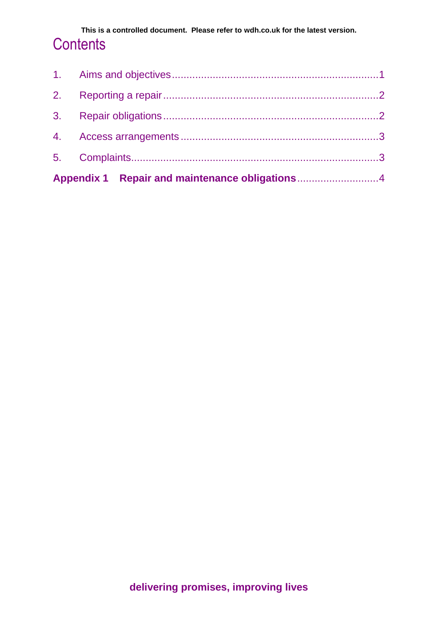| Appendix 1 Repair and maintenance obligations4 |  |
|------------------------------------------------|--|
|                                                |  |
|                                                |  |
|                                                |  |
|                                                |  |
|                                                |  |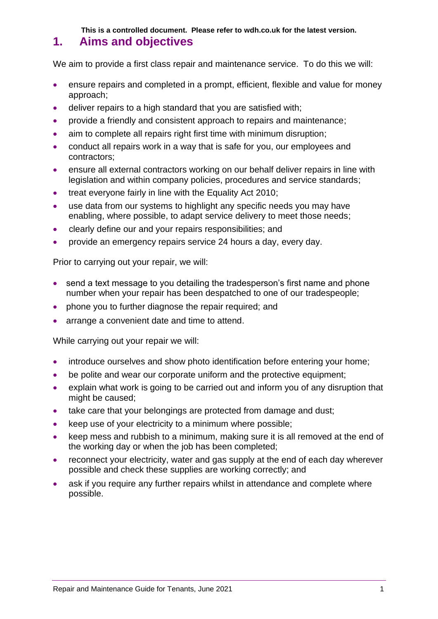### <span id="page-2-0"></span>**1. Aims and objectives**

We aim to provide a first class repair and maintenance service. To do this we will:

- ensure repairs and completed in a prompt, efficient, flexible and value for money approach;
- deliver repairs to a high standard that you are satisfied with;
- provide a friendly and consistent approach to repairs and maintenance;
- aim to complete all repairs right first time with minimum disruption;
- conduct all repairs work in a way that is safe for you, our employees and contractors;
- ensure all external contractors working on our behalf deliver repairs in line with legislation and within company policies, procedures and service standards;
- treat everyone fairly in line with the Equality Act 2010:
- use data from our systems to highlight any specific needs you may have enabling, where possible, to adapt service delivery to meet those needs;
- clearly define our and your repairs responsibilities; and
- provide an emergency repairs service 24 hours a day, every day.

Prior to carrying out your repair, we will:

- send a text message to you detailing the tradesperson's first name and phone number when your repair has been despatched to one of our tradespeople;
- phone you to further diagnose the repair required; and
- arrange a convenient date and time to attend.

While carrying out your repair we will:

- introduce ourselves and show photo identification before entering your home;
- be polite and wear our corporate uniform and the protective equipment:
- explain what work is going to be carried out and inform you of any disruption that might be caused;
- take care that your belongings are protected from damage and dust;
- keep use of your electricity to a minimum where possible;
- keep mess and rubbish to a minimum, making sure it is all removed at the end of the working day or when the job has been completed;
- reconnect your electricity, water and gas supply at the end of each day wherever possible and check these supplies are working correctly; and
- ask if you require any further repairs whilst in attendance and complete where possible.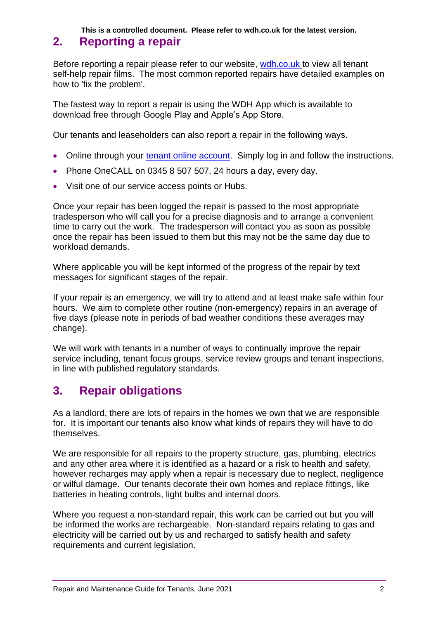## <span id="page-3-0"></span>**2. Reporting a repair**

Before reporting a repair please refer to our website, [wdh.co.uk](https://www.wdh.co.uk/Tenant/FAQ/Category/) to view all tenant self-help repair films. The most common reported repairs have detailed examples on how to 'fix the problem'.

The fastest way to report a repair is using the WDH App which is available to download free through Google Play and Apple's App Store.

Our tenants and leaseholders can also report a repair in the following ways.

- Online through your [tenant online account.](https://www.wdh.co.uk/Tenant/default.aspx) Simply log in and follow the instructions.
- Phone OneCALL on 0345 8 507 507, 24 hours a day, every day.
- Visit one of our service access points or Hubs.

Once your repair has been logged the repair is passed to the most appropriate tradesperson who will call you for a precise diagnosis and to arrange a convenient time to carry out the work. The tradesperson will contact you as soon as possible once the repair has been issued to them but this may not be the same day due to workload demands.

Where applicable you will be kept informed of the progress of the repair by text messages for significant stages of the repair.

If your repair is an emergency, we will try to attend and at least make safe within four hours. We aim to complete other routine (non-emergency) repairs in an average of five days (please note in periods of bad weather conditions these averages may change).

We will work with tenants in a number of ways to continually improve the repair service including, tenant focus groups, service review groups and tenant inspections, in line with published regulatory standards.

# <span id="page-3-1"></span>**3. Repair obligations**

As a landlord, there are lots of repairs in the homes we own that we are responsible for. It is important our tenants also know what kinds of repairs they will have to do themselves.

We are responsible for all repairs to the property structure, gas, plumbing, electrics and any other area where it is identified as a hazard or a risk to health and safety, however recharges may apply when a repair is necessary due to neglect, negligence or wilful damage. Our tenants decorate their own homes and replace fittings, like batteries in heating controls, light bulbs and internal doors.

Where you request a non-standard repair, this work can be carried out but you will be informed the works are rechargeable. Non-standard repairs relating to gas and electricity will be carried out by us and recharged to satisfy health and safety requirements and current legislation.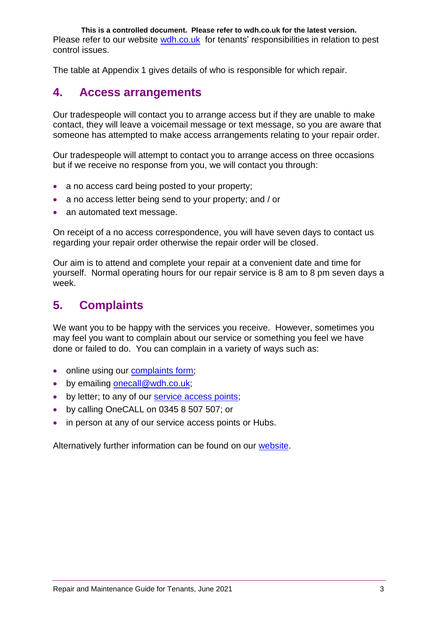**This is a controlled document. Please refer to wdh.co.uk for the latest version.** Please refer to our website [wdh.co.uk](http://www.wdh.co.uk/) for tenants' responsibilities in relation to pest control issues.

The table at Appendix 1 gives details of who is responsible for which repair.

## <span id="page-4-0"></span>**4. Access arrangements**

Our tradespeople will contact you to arrange access but if they are unable to make contact, they will leave a voicemail message or text message, so you are aware that someone has attempted to make access arrangements relating to your repair order.

Our tradespeople will attempt to contact you to arrange access on three occasions but if we receive no response from you, we will contact you through:

- a no access card being posted to your property;
- a no access letter being send to your property; and / or
- an automated text message.

On receipt of a no access correspondence, you will have seven days to contact us regarding your repair order otherwise the repair order will be closed.

Our aim is to attend and complete your repair at a convenient date and time for yourself. Normal operating hours for our repair service is 8 am to 8 pm seven days a week.

## <span id="page-4-1"></span>**5. Complaints**

We want you to be happy with the services you receive. However, sometimes you may feel you want to complain about our service or something you feel we have done or failed to do. You can complain in a variety of ways such as:

- online using our [complaints form;](https://www.wdh.co.uk/ContactUs/Feedback.aspx?type=3)
- by emailing onecall@wdh.co.uk:
- by letter; to any of our [service access points;](http://www.wdh.co.uk/ContactUs/)
- by calling OneCALL on 0345 8 507 507; or
- in person at any of our service access points or Hubs.

Alternatively further information can be found on our [website.](http://www.wdh.co.uk/Tenant/FAQ/SearchResults.aspx?QID=385)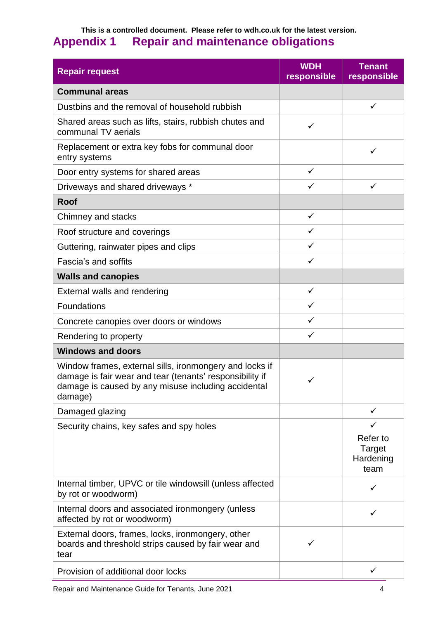## <span id="page-5-0"></span>**This is a controlled document. Please refer to wdh.co.uk for the latest version. Appendix 1 Repair and maintenance obligations**

| <b>Repair request</b>                                                                                                                                                                 | <b>WDH</b><br>responsible | <b>Tenant</b><br>responsible            |
|---------------------------------------------------------------------------------------------------------------------------------------------------------------------------------------|---------------------------|-----------------------------------------|
| <b>Communal areas</b>                                                                                                                                                                 |                           |                                         |
| Dustbins and the removal of household rubbish                                                                                                                                         |                           | $\checkmark$                            |
| Shared areas such as lifts, stairs, rubbish chutes and<br>communal TV aerials                                                                                                         | $\checkmark$              |                                         |
| Replacement or extra key fobs for communal door<br>entry systems                                                                                                                      |                           | $\checkmark$                            |
| Door entry systems for shared areas                                                                                                                                                   | $\checkmark$              |                                         |
| Driveways and shared driveways *                                                                                                                                                      | $\checkmark$              | $\checkmark$                            |
| <b>Roof</b>                                                                                                                                                                           |                           |                                         |
| Chimney and stacks                                                                                                                                                                    | $\checkmark$              |                                         |
| Roof structure and coverings                                                                                                                                                          | $\checkmark$              |                                         |
| Guttering, rainwater pipes and clips                                                                                                                                                  | $\checkmark$              |                                         |
| Fascia's and soffits                                                                                                                                                                  | $\checkmark$              |                                         |
| <b>Walls and canopies</b>                                                                                                                                                             |                           |                                         |
| External walls and rendering                                                                                                                                                          | $\checkmark$              |                                         |
| Foundations                                                                                                                                                                           | $\checkmark$              |                                         |
| Concrete canopies over doors or windows                                                                                                                                               | ✓                         |                                         |
| Rendering to property                                                                                                                                                                 | ✓                         |                                         |
| <b>Windows and doors</b>                                                                                                                                                              |                           |                                         |
| Window frames, external sills, ironmongery and locks if<br>damage is fair wear and tear (tenants' responsibility if<br>damage is caused by any misuse including accidental<br>damage) |                           |                                         |
| Damaged glazing                                                                                                                                                                       |                           | $\checkmark$                            |
| Security chains, key safes and spy holes                                                                                                                                              |                           | Refer to<br>Target<br>Hardening<br>team |
| Internal timber, UPVC or tile windowsill (unless affected<br>by rot or woodworm)                                                                                                      |                           | ✓                                       |
| Internal doors and associated ironmongery (unless<br>affected by rot or woodworm)                                                                                                     |                           | ✓                                       |
| External doors, frames, locks, ironmongery, other<br>boards and threshold strips caused by fair wear and<br>tear                                                                      | ✓                         |                                         |
| Provision of additional door locks                                                                                                                                                    |                           | ✓                                       |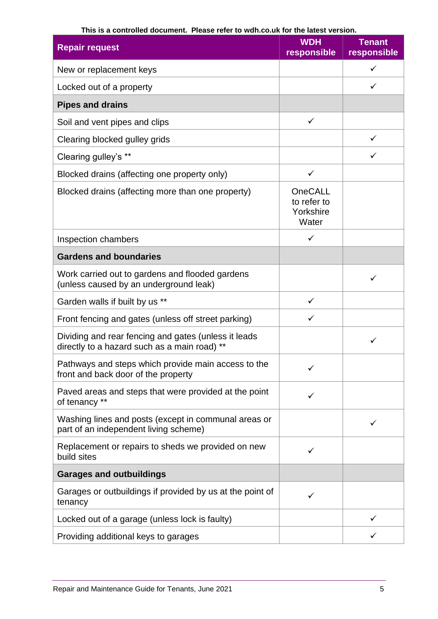| <b>Repair request</b>                                                                                | <b>WDH</b><br>responsible                    | <b>Tenant</b><br>responsible |
|------------------------------------------------------------------------------------------------------|----------------------------------------------|------------------------------|
| New or replacement keys                                                                              |                                              | ✓                            |
| Locked out of a property                                                                             |                                              | ✓                            |
| <b>Pipes and drains</b>                                                                              |                                              |                              |
| Soil and vent pipes and clips                                                                        | $\checkmark$                                 |                              |
| Clearing blocked gulley grids                                                                        |                                              | $\checkmark$                 |
| Clearing gulley's **                                                                                 |                                              | $\checkmark$                 |
| Blocked drains (affecting one property only)                                                         | $\checkmark$                                 |                              |
| Blocked drains (affecting more than one property)                                                    | OneCALL<br>to refer to<br>Yorkshire<br>Water |                              |
| Inspection chambers                                                                                  | ✓                                            |                              |
| <b>Gardens and boundaries</b>                                                                        |                                              |                              |
| Work carried out to gardens and flooded gardens<br>(unless caused by an underground leak)            |                                              | ✓                            |
| Garden walls if built by us **                                                                       | ✓                                            |                              |
| Front fencing and gates (unless off street parking)                                                  | ✓                                            |                              |
| Dividing and rear fencing and gates (unless it leads<br>directly to a hazard such as a main road) ** |                                              | ✓                            |
| Pathways and steps which provide main access to the<br>front and back door of the property           | ✓                                            |                              |
| Paved areas and steps that were provided at the point<br>of tenancy **                               | ✓                                            |                              |
| Washing lines and posts (except in communal areas or<br>part of an independent living scheme)        |                                              |                              |
| Replacement or repairs to sheds we provided on new<br>build sites                                    | ✓                                            |                              |
| <b>Garages and outbuildings</b>                                                                      |                                              |                              |
| Garages or outbuildings if provided by us at the point of<br>tenancy                                 | ✓                                            |                              |
| Locked out of a garage (unless lock is faulty)                                                       |                                              |                              |
| Providing additional keys to garages                                                                 |                                              |                              |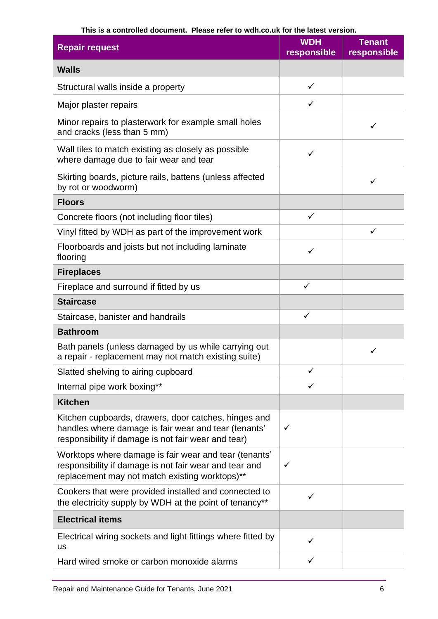| <b>Repair request</b>                                                                                                                                               | <b>WDH</b><br>responsible | <b>Tenant</b><br>responsible |
|---------------------------------------------------------------------------------------------------------------------------------------------------------------------|---------------------------|------------------------------|
| <b>Walls</b>                                                                                                                                                        |                           |                              |
| Structural walls inside a property                                                                                                                                  | $\checkmark$              |                              |
| Major plaster repairs                                                                                                                                               | $\checkmark$              |                              |
| Minor repairs to plasterwork for example small holes<br>and cracks (less than 5 mm)                                                                                 |                           | ✓                            |
| Wall tiles to match existing as closely as possible<br>where damage due to fair wear and tear                                                                       | $\checkmark$              |                              |
| Skirting boards, picture rails, battens (unless affected<br>by rot or woodworm)                                                                                     |                           | ✓                            |
| <b>Floors</b>                                                                                                                                                       |                           |                              |
| Concrete floors (not including floor tiles)                                                                                                                         | $\checkmark$              |                              |
| Vinyl fitted by WDH as part of the improvement work                                                                                                                 |                           | ✓                            |
| Floorboards and joists but not including laminate<br>flooring                                                                                                       | ✓                         |                              |
| <b>Fireplaces</b>                                                                                                                                                   |                           |                              |
| Fireplace and surround if fitted by us                                                                                                                              | $\checkmark$              |                              |
| <b>Staircase</b>                                                                                                                                                    |                           |                              |
| Staircase, banister and handrails                                                                                                                                   | ✓                         |                              |
| <b>Bathroom</b>                                                                                                                                                     |                           |                              |
| Bath panels (unless damaged by us while carrying out<br>a repair - replacement may not match existing suite)                                                        |                           |                              |
| Slatted shelving to airing cupboard                                                                                                                                 |                           |                              |
| Internal pipe work boxing**                                                                                                                                         |                           |                              |
| <b>Kitchen</b>                                                                                                                                                      |                           |                              |
| Kitchen cupboards, drawers, door catches, hinges and<br>handles where damage is fair wear and tear (tenants'<br>responsibility if damage is not fair wear and tear) | ✓                         |                              |
| Worktops where damage is fair wear and tear (tenants'<br>responsibility if damage is not fair wear and tear and<br>replacement may not match existing worktops)**   | ✓                         |                              |
| Cookers that were provided installed and connected to<br>the electricity supply by WDH at the point of tenancy**                                                    |                           |                              |
| <b>Electrical items</b>                                                                                                                                             |                           |                              |
| Electrical wiring sockets and light fittings where fitted by<br><b>us</b>                                                                                           |                           |                              |
| Hard wired smoke or carbon monoxide alarms                                                                                                                          | ✓                         |                              |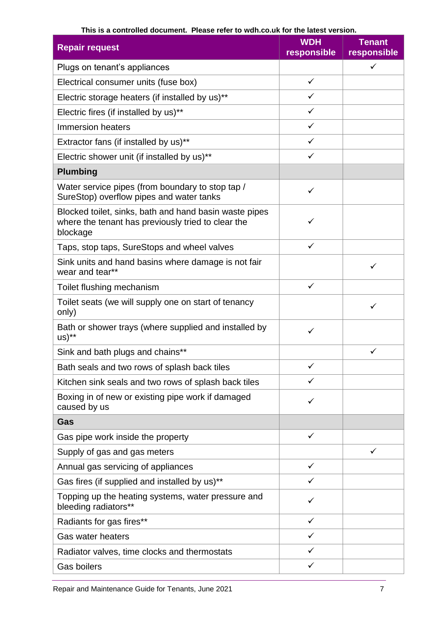| <b>Repair request</b>                                                                                                    | <b>WDH</b><br>responsible | <b>Tenant</b><br>responsible |
|--------------------------------------------------------------------------------------------------------------------------|---------------------------|------------------------------|
| Plugs on tenant's appliances                                                                                             |                           | ✓                            |
| Electrical consumer units (fuse box)                                                                                     | $\checkmark$              |                              |
| Electric storage heaters (if installed by us)**                                                                          | ✓                         |                              |
| Electric fires (if installed by us)**                                                                                    | ✓                         |                              |
| Immersion heaters                                                                                                        | ✓                         |                              |
| Extractor fans (if installed by us)**                                                                                    | ✓                         |                              |
| Electric shower unit (if installed by us)**                                                                              | $\checkmark$              |                              |
| <b>Plumbing</b>                                                                                                          |                           |                              |
| Water service pipes (from boundary to stop tap /<br>SureStop) overflow pipes and water tanks                             | ✓                         |                              |
| Blocked toilet, sinks, bath and hand basin waste pipes<br>where the tenant has previously tried to clear the<br>blockage | ✓                         |                              |
| Taps, stop taps, SureStops and wheel valves                                                                              | $\checkmark$              |                              |
| Sink units and hand basins where damage is not fair<br>wear and tear**                                                   |                           | ✓                            |
| Toilet flushing mechanism                                                                                                | ✓                         |                              |
| Toilet seats (we will supply one on start of tenancy<br>only)                                                            |                           | ✓                            |
| Bath or shower trays (where supplied and installed by<br>$US)$ **                                                        | ✓                         |                              |
| Sink and bath plugs and chains**                                                                                         |                           | $\checkmark$                 |
| Bath seals and two rows of splash back tiles                                                                             |                           |                              |
| Kitchen sink seals and two rows of splash back tiles                                                                     | $\checkmark$              |                              |
| Boxing in of new or existing pipe work if damaged<br>caused by us                                                        | ✓                         |                              |
| Gas                                                                                                                      |                           |                              |
| Gas pipe work inside the property                                                                                        | $\checkmark$              |                              |
| Supply of gas and gas meters                                                                                             |                           | $\checkmark$                 |
| Annual gas servicing of appliances                                                                                       | $\checkmark$              |                              |
| Gas fires (if supplied and installed by us)**                                                                            | ✓                         |                              |
| Topping up the heating systems, water pressure and<br>bleeding radiators**                                               | ✓                         |                              |
| Radiants for gas fires**                                                                                                 | ✓                         |                              |
| <b>Gas water heaters</b>                                                                                                 | ✓                         |                              |
| Radiator valves, time clocks and thermostats                                                                             | ✓                         |                              |
| <b>Gas boilers</b>                                                                                                       | $\checkmark$              |                              |